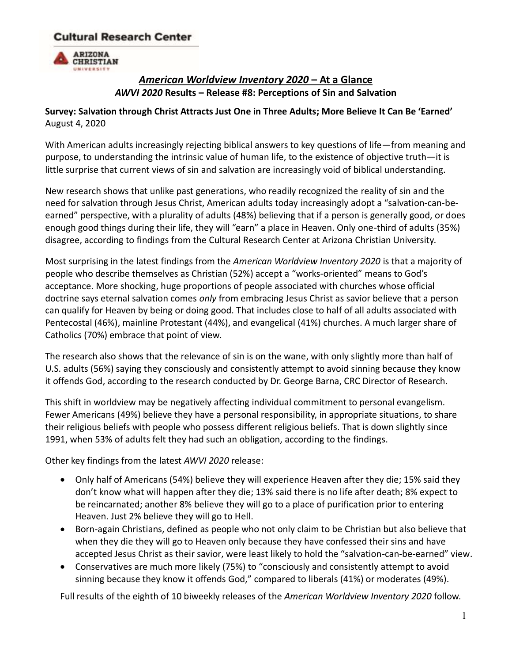# **Cultural Research Center**



# *American Worldview Inventory 2020* **– At a Glance** *AWVI 2020* **Results – Release #8: Perceptions of Sin and Salvation**

## **Survey: Salvation through Christ Attracts Just One in Three Adults; More Believe It Can Be 'Earned'** August 4, 2020

With American adults increasingly rejecting biblical answers to key questions of life—from meaning and purpose, to understanding the intrinsic value of human life, to the existence of objective truth—it is little surprise that current views of sin and salvation are increasingly void of biblical understanding.

New research shows that unlike past generations, who readily recognized the reality of sin and the need for salvation through Jesus Christ, American adults today increasingly adopt a "salvation-can-beearned" perspective, with a plurality of adults (48%) believing that if a person is generally good, or does enough good things during their life, they will "earn" a place in Heaven. Only one-third of adults (35%) disagree, according to findings from the Cultural Research Center at Arizona Christian University.

Most surprising in the latest findings from the *American Worldview Inventory 2020* is that a majority of people who describe themselves as Christian (52%) accept a "works-oriented" means to God's acceptance. More shocking, huge proportions of people associated with churches whose official doctrine says eternal salvation comes *only* from embracing Jesus Christ as savior believe that a person can qualify for Heaven by being or doing good. That includes close to half of all adults associated with Pentecostal (46%), mainline Protestant (44%), and evangelical (41%) churches. A much larger share of Catholics (70%) embrace that point of view.

The research also shows that the relevance of sin is on the wane, with only slightly more than half of U.S. adults (56%) saying they consciously and consistently attempt to avoid sinning because they know it offends God, according to the research conducted by Dr. George Barna, CRC Director of Research.

This shift in worldview may be negatively affecting individual commitment to personal evangelism. Fewer Americans (49%) believe they have a personal responsibility, in appropriate situations, to share their religious beliefs with people who possess different religious beliefs. That is down slightly since 1991, when 53% of adults felt they had such an obligation, according to the findings.

Other key findings from the latest *AWVI 2020* release:

- Only half of Americans (54%) believe they will experience Heaven after they die; 15% said they don't know what will happen after they die; 13% said there is no life after death; 8% expect to be reincarnated; another 8% believe they will go to a place of purification prior to entering Heaven. Just 2% believe they will go to Hell.
- Born-again Christians, defined as people who not only claim to be Christian but also believe that when they die they will go to Heaven only because they have confessed their sins and have accepted Jesus Christ as their savior, were least likely to hold the "salvation-can-be-earned" view.
- Conservatives are much more likely (75%) to "consciously and consistently attempt to avoid sinning because they know it offends God," compared to liberals (41%) or moderates (49%).

Full results of the eighth of 10 biweekly releases of the *American Worldview Inventory 2020* follow.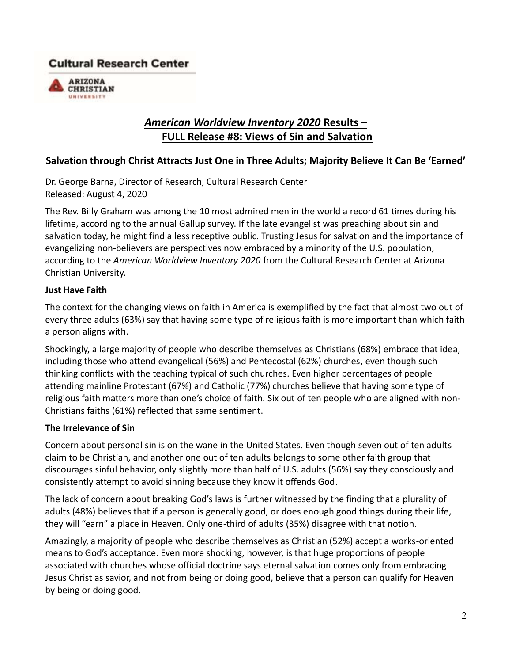# **Cultural Research Center**



# *American Worldview Inventory 2020* **Results – FULL Release #8: Views of Sin and Salvation**

### **Salvation through Christ Attracts Just One in Three Adults; Majority Believe It Can Be 'Earned'**

Dr. George Barna, Director of Research, Cultural Research Center Released: August 4, 2020

The Rev. Billy Graham was among the 10 most admired men in the world a record 61 times during his lifetime, according to the annual Gallup survey. If the late evangelist was preaching about sin and salvation today, he might find a less receptive public. Trusting Jesus for salvation and the importance of evangelizing non-believers are perspectives now embraced by a minority of the U.S. population, according to the *American Worldview Inventory 2020* from the Cultural Research Center at Arizona Christian University.

#### **Just Have Faith**

The context for the changing views on faith in America is exemplified by the fact that almost two out of every three adults (63%) say that having some type of religious faith is more important than which faith a person aligns with.

Shockingly, a large majority of people who describe themselves as Christians (68%) embrace that idea, including those who attend evangelical (56%) and Pentecostal (62%) churches, even though such thinking conflicts with the teaching typical of such churches. Even higher percentages of people attending mainline Protestant (67%) and Catholic (77%) churches believe that having some type of religious faith matters more than one's choice of faith. Six out of ten people who are aligned with non-Christians faiths (61%) reflected that same sentiment.

### **The Irrelevance of Sin**

Concern about personal sin is on the wane in the United States. Even though seven out of ten adults claim to be Christian, and another one out of ten adults belongs to some other faith group that discourages sinful behavior, only slightly more than half of U.S. adults (56%) say they consciously and consistently attempt to avoid sinning because they know it offends God.

The lack of concern about breaking God's laws is further witnessed by the finding that a plurality of adults (48%) believes that if a person is generally good, or does enough good things during their life, they will "earn" a place in Heaven. Only one-third of adults (35%) disagree with that notion.

Amazingly, a majority of people who describe themselves as Christian (52%) accept a works-oriented means to God's acceptance. Even more shocking, however, is that huge proportions of people associated with churches whose official doctrine says eternal salvation comes only from embracing Jesus Christ as savior, and not from being or doing good, believe that a person can qualify for Heaven by being or doing good.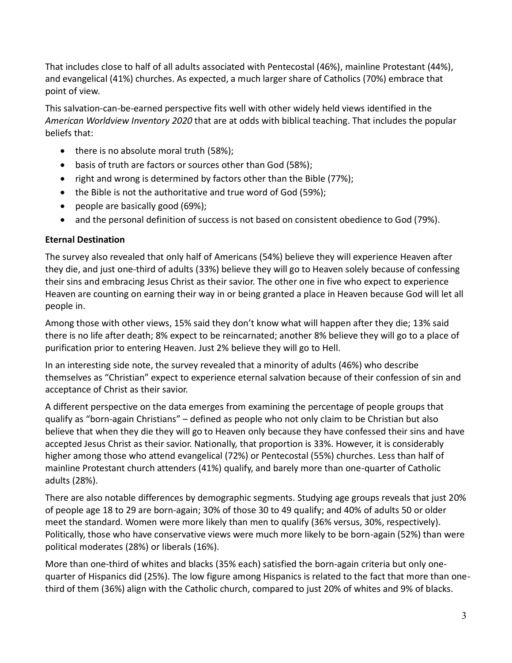That includes close to half of all adults associated with Pentecostal (46%), mainline Protestant (44%), and evangelical (41%) churches. As expected, a much larger share of Catholics (70%) embrace that point of view.

This salvation-can-be-earned perspective fits well with other widely held views identified in the *American Worldview Inventory 2020* that are at odds with biblical teaching. That includes the popular beliefs that:

- there is no absolute moral truth (58%);
- basis of truth are factors or sources other than God (58%);
- right and wrong is determined by factors other than the Bible (77%);
- the Bible is not the authoritative and true word of God (59%);
- people are basically good (69%);
- and the personal definition of success is not based on consistent obedience to God (79%).

### **Eternal Destination**

The survey also revealed that only half of Americans (54%) believe they will experience Heaven after they die, and just one-third of adults (33%) believe they will go to Heaven solely because of confessing their sins and embracing Jesus Christ as their savior. The other one in five who expect to experience Heaven are counting on earning their way in or being granted a place in Heaven because God will let all people in.

Among those with other views, 15% said they don't know what will happen after they die; 13% said there is no life after death; 8% expect to be reincarnated; another 8% believe they will go to a place of purification prior to entering Heaven. Just 2% believe they will go to Hell.

In an interesting side note, the survey revealed that a minority of adults (46%) who describe themselves as "Christian" expect to experience eternal salvation because of their confession of sin and acceptance of Christ as their savior.

A different perspective on the data emerges from examining the percentage of people groups that qualify as "born-again Christians" – defined as people who not only claim to be Christian but also believe that when they die they will go to Heaven only because they have confessed their sins and have accepted Jesus Christ as their savior. Nationally, that proportion is 33%. However, it is considerably higher among those who attend evangelical (72%) or Pentecostal (55%) churches. Less than half of mainline Protestant church attenders (41%) qualify, and barely more than one-quarter of Catholic adults (28%).

There are also notable differences by demographic segments. Studying age groups reveals that just 20% of people age 18 to 29 are born-again; 30% of those 30 to 49 qualify; and 40% of adults 50 or older meet the standard. Women were more likely than men to qualify (36% versus, 30%, respectively). Politically, those who have conservative views were much more likely to be born-again (52%) than were political moderates (28%) or liberals (16%).

More than one-third of whites and blacks (35% each) satisfied the born-again criteria but only onequarter of Hispanics did (25%). The low figure among Hispanics is related to the fact that more than onethird of them (36%) align with the Catholic church, compared to just 20% of whites and 9% of blacks.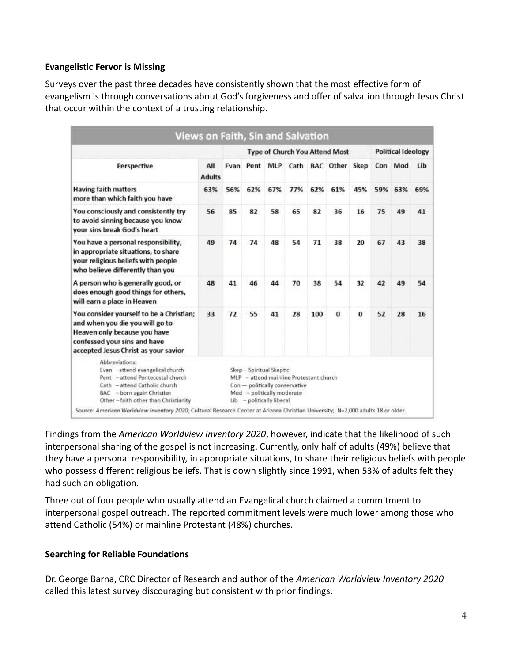#### **Evangelistic Fervor is Missing**

Surveys over the past three decades have consistently shown that the most effective form of evangelism is through conversations about God's forgiveness and offer of salvation through Jesus Christ that occur within the context of a trusting relationship.

|                                                                                                                                                                                                                                                                                                                                    | <b>Views on Faith, Sin and Salvation</b> |                                       |      |                                                                                     |                                                                           |     |                       |          |                           |         |     |
|------------------------------------------------------------------------------------------------------------------------------------------------------------------------------------------------------------------------------------------------------------------------------------------------------------------------------------|------------------------------------------|---------------------------------------|------|-------------------------------------------------------------------------------------|---------------------------------------------------------------------------|-----|-----------------------|----------|---------------------------|---------|-----|
|                                                                                                                                                                                                                                                                                                                                    |                                          | <b>Type of Church You Attend Most</b> |      |                                                                                     |                                                                           |     |                       |          | <b>Political Ideology</b> |         |     |
| Perspective                                                                                                                                                                                                                                                                                                                        | All<br><b>Adults</b>                     | Evan                                  | Pent |                                                                                     | MLP Cath                                                                  |     | <b>BAC</b> Other Skep |          |                           | Con Mod | Lib |
| <b>Having faith matters</b><br>more than which faith you have                                                                                                                                                                                                                                                                      | 63%                                      | 56%                                   | 62%  | 67%                                                                                 | 77%                                                                       | 62% | 61%                   | 45%      | 59%                       | 63%     | 69% |
| You consciously and consistently try<br>to avoid sinning because you know<br>your sins break God's heart                                                                                                                                                                                                                           | 56                                       | 85                                    | 82   | 58                                                                                  | 65                                                                        | 82  | 36                    | 16       | 75                        | 49      | 41  |
| You have a personal responsibility,<br>in appropriate situations, to share<br>your religious beliefs with people<br>who believe differently than you                                                                                                                                                                               | 49                                       | 74                                    | 74   | 48                                                                                  | 54                                                                        | 71  | 38                    | 20       | 67                        | 43      | 38  |
| A person who is generally good, or<br>does enough good things for others,<br>will earn a place in Heaven                                                                                                                                                                                                                           | 48                                       | 41                                    | 46   | 44                                                                                  | 70                                                                        | 38  | 54                    | 32       | 42                        | 49      | 54  |
| You consider yourself to be a Christian;<br>and when you die you will go to<br>Heaven only because you have<br>confessed your sins and have<br>accepted Jesus Christ as your savior                                                                                                                                                | 33                                       | 72                                    | 55   | 41                                                                                  | 28                                                                        | 100 | $\bf{0}$              | $\bf{0}$ | 52                        | 28      | 16  |
| Abbreviations:<br>Evan - attend evangelical church<br>Pent - attend Pentecostal church<br>Cath - attend Catholic church<br>BAC - born again Christian<br>Other - faith other than Christianity<br>Source: American Worldview Inventory 2020; Cultural Research Center at Arizona Christian University; N=2,000 adults 18 or older. |                                          |                                       |      | Skep - Spiritual Skeptic<br>Mod - politically moderate<br>Lib - politically liberal | MLP - attend mainline Protestant church<br>Con - politically conservative |     |                       |          |                           |         |     |

Findings from the *American Worldview Inventory 2020*, however, indicate that the likelihood of such interpersonal sharing of the gospel is not increasing. Currently, only half of adults (49%) believe that they have a personal responsibility, in appropriate situations, to share their religious beliefs with people who possess different religious beliefs. That is down slightly since 1991, when 53% of adults felt they had such an obligation.

Three out of four people who usually attend an Evangelical church claimed a commitment to interpersonal gospel outreach. The reported commitment levels were much lower among those who attend Catholic (54%) or mainline Protestant (48%) churches.

### **Searching for Reliable Foundations**

Dr. George Barna, CRC Director of Research and author of the *American Worldview Inventory 2020* called this latest survey discouraging but consistent with prior findings.